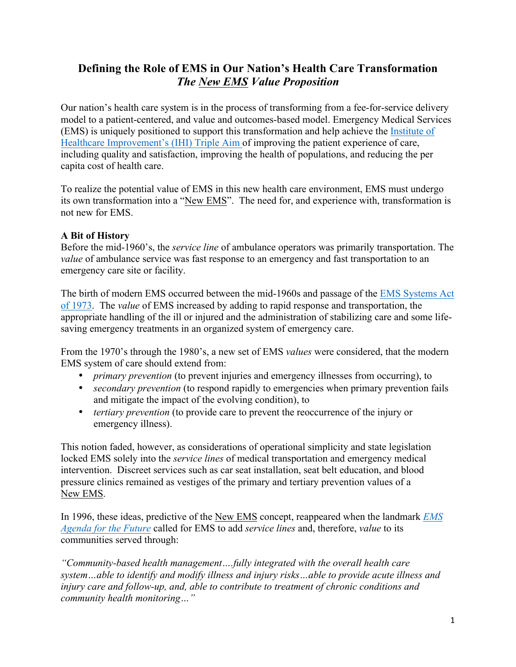# **Defining the Role of EMS in Our Nation's Health Care Transformation** *The New EMS Value Proposition*

Our nation's health care system is in the process of transforming from a fee-for-service delivery model to a patient-centered, and value and outcomes-based model. Emergency Medical Services (EMS) is uniquely positioned to support this transformation and help achieve the [Institute of](http://www.ihi.org/engage/initiatives/TripleAim/Pages/default.aspx)  Healthcare [Improvement's \(IHI\) Triple Aim](http://www.ihi.org/engage/initiatives/TripleAim/Pages/default.aspx) of improving the patient experience of care, including quality and satisfaction, improving the health of populations, and reducing the per capita cost of health care.

To realize the potential value of EMS in this new health care environment, EMS must undergo its own transformation into a "New EMS". The need for, and experience with, transformation is not new for EMS.

#### **A Bit of History**

Before the mid-1960's, the *service line* of ambulance operators was primarily transportation. The *value* of ambulance service was fast response to an emergency and fast transportation to an emergency care site or facility.

The birth of modern EMS occurred between the mid-1960s and passage of the [EMS Systems Act](http://www.cengage.com/resource_uploads/downloads/1435480279_241560.pdf) [of 1973](http://www.cengage.com/resource_uploads/downloads/1435480279_241560.pdf). The *value* of EMS increased by adding to rapid response and transportation, the appropriate handling of the ill or injured and the administration of stabilizing care and some lifesaving emergency treatments in an organized system of emergency care.

From the 1970's through the 1980's, a new set of EMS *values* were considered, that the modern EMS system of care should extend from:

- *primary prevention* (to prevent injuries and emergency illnesses from occurring), to
- *secondary prevention* (to respond rapidly to emergencies when primary prevention fails and mitigate the impact of the evolving condition), to
- *tertiary prevention* (to provide care to prevent the reoccurrence of the injury or emergency illness).

This notion faded, however, as considerations of operational simplicity and state legislation locked EMS solely into the *service lines* of medical transportation and emergency medical intervention. Discreet services such as car seat installation, seat belt education, and blood pressure clinics remained as vestiges of the primary and tertiary prevention values of a New EMS.

In 1996, these ideas, predictive of the New EMS concept, reappeared when the landmark *[EMS](http://www.nhtsa.gov/people/injury/ems/agenda/emsman.html)  [Agenda for the Future](http://www.nhtsa.gov/people/injury/ems/agenda/emsman.html)* called for EMS to add *service lines* and, therefore, *value* to its communities served through:

*"Community-based health management….fully integrated with the overall health care system…able to identify and modify illness and injury risks…able to provide acute illness and injury care and follow-up, and, able to contribute to treatment of chronic conditions and community health monitoring…"*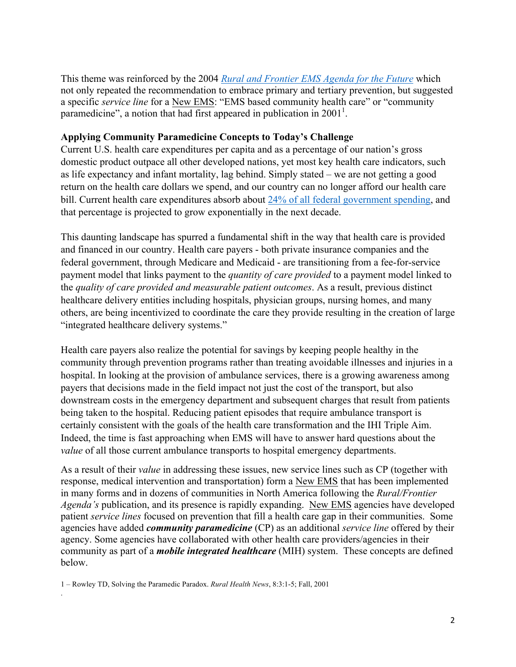This theme was reinforced by the 2004 *[Rural and Frontier EMS Agenda for the Future](https://www.nasemso.org/Projects/RuralEMS/documents/Rural-Frontier-EMS-Agenda-for-the-Future.pdf)* which not only repeated the recommendation to embrace primary and tertiary prevention, but suggested a specific *service line* for a New EMS: "EMS based community health care" or "community paramedicine", a notion that had first appeared in publication in  $2001<sup>1</sup>$ .

#### **Applying Community Paramedicine Concepts to Today's Challenge**

Current U.S. health care expenditures per capita and as a percentage of our nation's gross domestic product outpace all other developed nations, yet most key health care indicators, such as life expectancy and infant mortality, lag behind. Simply stated – we are not getting a good return on the health care dollars we spend, and our country can no longer afford our health care bill. Current health care expenditures absorb about [24% of all federal government spending](http://www.cbpp.org/research/policy-basics-where-do-our-federal-tax-dollars-go), and that percentage is projected to grow exponentially in the next decade.

This daunting landscape has spurred a fundamental shift in the way that health care is provided and financed in our country. Health care payers - both private insurance companies and the federal government, through Medicare and Medicaid - are transitioning from a fee-for-service payment model that links payment to the *quantity of care provided* to a payment model linked to the *quality of care provided and measurable patient outcomes*. As a result, previous distinct healthcare delivery entities including hospitals, physician groups, nursing homes, and many others, are being incentivized to coordinate the care they provide resulting in the creation of large "integrated healthcare delivery systems."

Health care payers also realize the potential for savings by keeping people healthy in the community through prevention programs rather than treating avoidable illnesses and injuries in a hospital. In looking at the provision of ambulance services, there is a growing awareness among payers that decisions made in the field impact not just the cost of the transport, but also downstream costs in the emergency department and subsequent charges that result from patients being taken to the hospital. Reducing patient episodes that require ambulance transport is certainly consistent with the goals of the health care transformation and the IHI Triple Aim. Indeed, the time is fast approaching when EMS will have to answer hard questions about the *value* of all those current ambulance transports to hospital emergency departments.

As a result of their *value* in addressing these issues, new service lines such as CP (together with response, medical intervention and transportation) form a New EMS that has been implemented in many forms and in dozens of communities in North America following the *Rural/Frontier Agenda's* publication, and its presence is rapidly expanding. New EMS agencies have developed patient *service lines* focused on prevention that fill a health care gap in their communities. Some agencies have added *community paramedicine* (CP) as an additional *service line* offered by their agency. Some agencies have collaborated with other health care providers/agencies in their community as part of a *mobile integrated healthcare* (MIH) system. These concepts are defined below.

.

<sup>1 –</sup> Rowley TD, Solving the Paramedic Paradox. *Rural Health News*, 8:3:1-5; Fall, 2001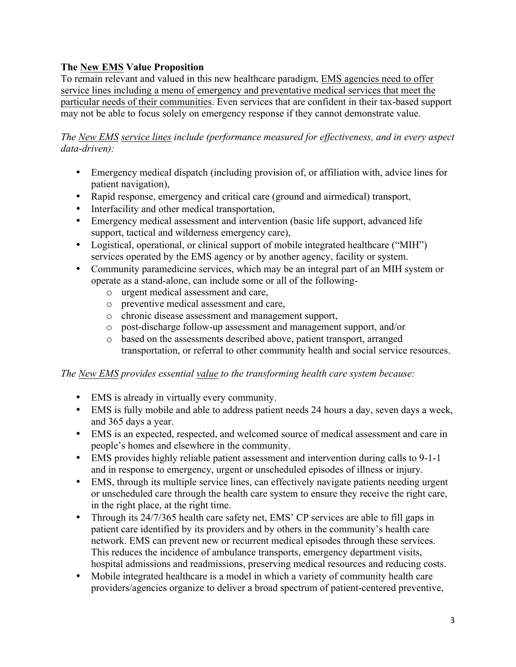## **The New EMS Value Proposition**

To remain relevant and valued in this new healthcare paradigm, EMS agencies need to offer service lines including a menu of emergency and preventative medical services that meet the particular needs of their communities. Even services that are confident in their tax-based support may not be able to focus solely on emergency response if they cannot demonstrate value.

*The New EMS service lines include (performance measured for effectiveness, and in every aspect data-driven):*

- Emergency medical dispatch (including provision of, or affiliation with, advice lines for patient navigation),
- Rapid response, emergency and critical care (ground and airmedical) transport,
- Interfacility and other medical transportation,
- Emergency medical assessment and intervention (basic life support, advanced life support, tactical and wilderness emergency care),
- Logistical, operational, or clinical support of mobile integrated healthcare ("MIH") services operated by the EMS agency or by another agency, facility or system.
- Community paramedicine services, which may be an integral part of an MIH system or operate as a stand-alone, can include some or all of the following
	- o urgent medical assessment and care,
	- o preventive medical assessment and care,
	- o chronic disease assessment and management support,
	- o post-discharge follow-up assessment and management support, and/or
	- o based on the assessments described above, patient transport, arranged transportation, or referral to other community health and social service resources.

#### *The New EMS provides essential value to the transforming health care system because:*

- EMS is already in virtually every community.
- EMS is fully mobile and able to address patient needs 24 hours a day, seven days a week, and 365 days a year.
- EMS is an expected, respected, and welcomed source of medical assessment and care in people's homes and elsewhere in the community.
- EMS provides highly reliable patient assessment and intervention during calls to 9-1-1 and in response to emergency, urgent or unscheduled episodes of illness or injury.
- EMS, through its multiple service lines, can effectively navigate patients needing urgent or unscheduled care through the health care system to ensure they receive the right care, in the right place, at the right time.
- Through its 24/7/365 health care safety net, EMS' CP services are able to fill gaps in patient care identified by its providers and by others in the community's health care network. EMS can prevent new or recurrent medical episodes through these services. This reduces the incidence of ambulance transports, emergency department visits, hospital admissions and readmissions, preserving medical resources and reducing costs.
- Mobile integrated healthcare is a model in which a variety of community health care providers/agencies organize to deliver a broad spectrum of patient-centered preventive,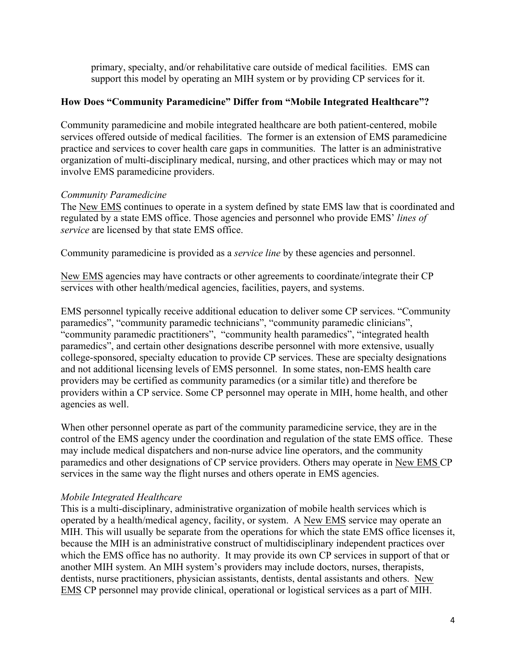primary, specialty, and/or rehabilitative care outside of medical facilities. EMS can support this model by operating an MIH system or by providing CP services for it.

#### **How Does "Community Paramedicine" Differ from "Mobile Integrated Healthcare"?**

Community paramedicine and mobile integrated healthcare are both patient-centered, mobile services offered outside of medical facilities. The former is an extension of EMS paramedicine practice and services to cover health care gaps in communities. The latter is an administrative organization of multi-disciplinary medical, nursing, and other practices which may or may not involve EMS paramedicine providers.

#### *Community Paramedicine*

The New EMS continues to operate in a system defined by state EMS law that is coordinated and regulated by a state EMS office. Those agencies and personnel who provide EMS' *lines of service* are licensed by that state EMS office.

Community paramedicine is provided as a *service line* by these agencies and personnel.

New EMS agencies may have contracts or other agreements to coordinate/integrate their CP services with other health/medical agencies, facilities, payers, and systems.

EMS personnel typically receive additional education to deliver some CP services. "Community paramedics", "community paramedic technicians", "community paramedic clinicians", "community paramedic practitioners", "community health paramedics", "integrated health paramedics", and certain other designations describe personnel with more extensive, usually college-sponsored, specialty education to provide CP services. These are specialty designations and not additional licensing levels of EMS personnel. In some states, non-EMS health care providers may be certified as community paramedics (or a similar title) and therefore be providers within a CP service. Some CP personnel may operate in MIH, home health, and other agencies as well.

When other personnel operate as part of the community paramedicine service, they are in the control of the EMS agency under the coordination and regulation of the state EMS office. These may include medical dispatchers and non-nurse advice line operators, and the community paramedics and other designations of CP service providers. Others may operate in New EMS CP services in the same way the flight nurses and others operate in EMS agencies.

#### *Mobile Integrated Healthcare*

This is a multi-disciplinary, administrative organization of mobile health services which is operated by a health/medical agency, facility, or system. A New EMS service may operate an MIH. This will usually be separate from the operations for which the state EMS office licenses it, because the MIH is an administrative construct of multidisciplinary independent practices over which the EMS office has no authority. It may provide its own CP services in support of that or another MIH system. An MIH system's providers may include doctors, nurses, therapists, dentists, nurse practitioners, physician assistants, dentists, dental assistants and others. New EMS CP personnel may provide clinical, operational or logistical services as a part of MIH.